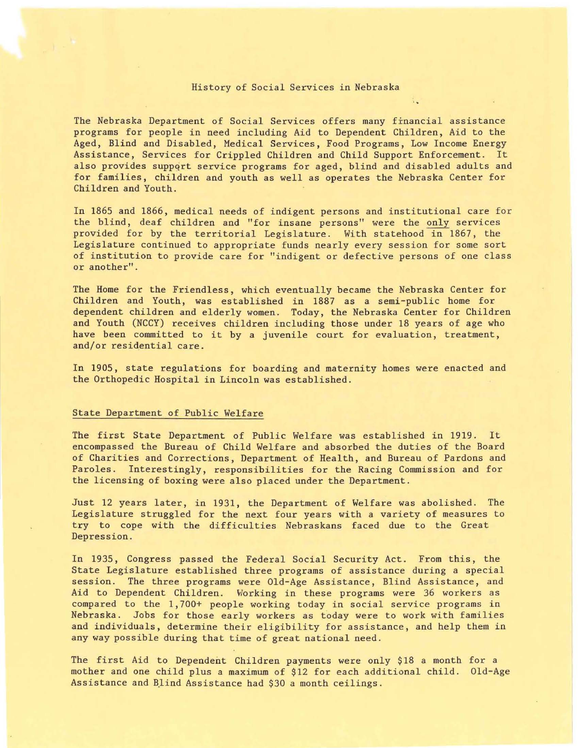## History of Social Services in Nebraska

The Nebraska Department of Social Services offers many financial assistance programs for people in need including Aid to Dependent Children, Aid to the Aged, Blind and Disabled, Medical Services, Food Programs, Low Income Energy Assistance, Services for Crippled Children and Child Support Enforcement. It also provides suppqrt service programs for aged, blind and disabled adults and for families, children and youth as well as operates the Nebraska Center for Children and Youth.

In 1865 and 1866, medical needs of indigent persons and institutional care for the blind, deaf children and "for insane persons" were the only services provided for by the territorial Legislature. With statehood in 1867, the Legislature continued to appropriate funds nearly every session for some sort of institution to provide care for "indigent or defective persons of one class or another" .

Children and Youth, was established in 1887 as a semi-public home for dependent children and elderly women. Today, the Nebraska Center for Children have been committed to it by a juvenile court for evaluation, treatment, The Home for the Friendless, which eventually became the Nebraska Center for and Youth (NCCY) receives children including those under 18 years of age who and/or residential care.

In 1905, state regulations for boarding and maternity homes were enacted and the Orthopedic Hospital in Lincoln was established.

## State Department of Public Welfare

The first State Department of Public Welfare was established in 1919. It of Charities and Corrections, Department of Health, and Bureau of Pardons and Paroles. Interestingly, responsibilities for the Racing Commission and for encompassed the Bureau of Child Welfare and absorbed the duties of the Board the licensing of boxing were also placed under the Department.

Just 12 years later, in 1931, the Department of Welfare was abolished. The Legislature struggled for the next four years with a variety of measures to try to cope with the difficulties Nebraskans faced due to the Great Depression .

In 1935, Congress passed the Federal Social Security Act. From this, the State Legislature established three programs of assistance during a special session. The three programs were Old-Age Assistance, Blind Assistance, and Aid to Dependent Children. Working in these programs were 36 workers as compared to the 1, 700+ people working today in social service programs in Nebraska . Jobs for those early workers as today were to work with families and individuals, determine their eligibility for assistance, and help them in any way possible during that time of great national need.

The first Aid to Dependent Children payments were only \$18 a month for a mother and one child plus a maximum of \$12 for each additional child. Old-Age Assistance and Blind Assistance had \$30 a month ceilings.